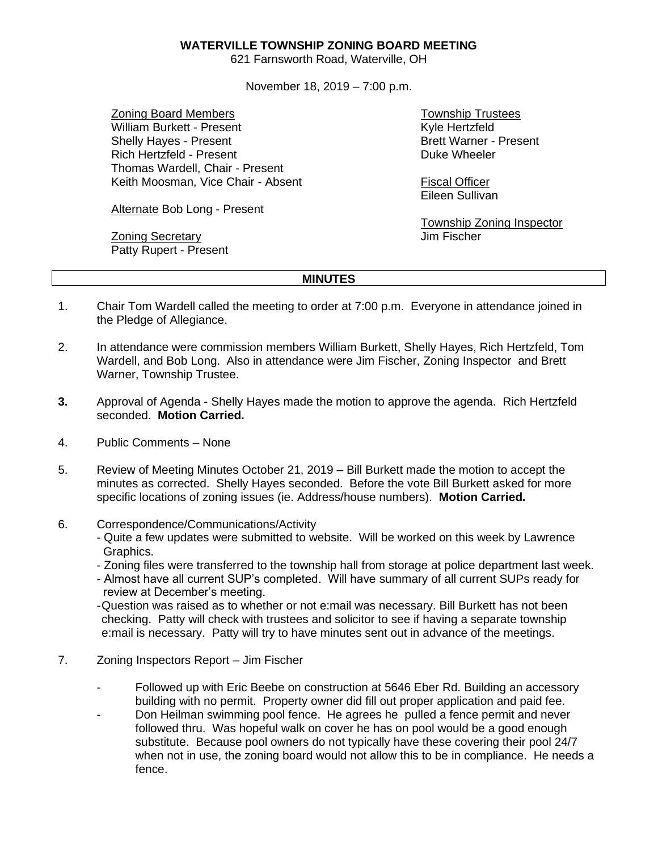## **WATERVILLE TOWNSHIP ZONING BOARD MEETING**

621 Farnsworth Road, Waterville, OH

November 18, 2019 – 7:00 p.m.

Zoning Board Members William Burkett - Present Shelly Hayes - Present Rich Hertzfeld - Present Thomas Wardell, Chair - Present Keith Moosman, Vice Chair - Absent

Alternate Bob Long - Present

Zoning Secretary Patty Rupert - Present

Township Trustees Kyle Hertzfeld Brett Warner - Present Duke Wheeler

Fiscal Officer Eileen Sullivan

Township Zoning Inspector Jim Fischer

## **MINUTES**

- 1. Chair Tom Wardell called the meeting to order at 7:00 p.m. Everyone in attendance joined in the Pledge of Allegiance.
- 2. In attendance were commission members William Burkett, Shelly Hayes, Rich Hertzfeld, Tom Wardell, and Bob Long. Also in attendance were Jim Fischer, Zoning Inspector and Brett Warner, Township Trustee.
- **3.** Approval of Agenda Shelly Hayes made the motion to approve the agenda. Rich Hertzfeld seconded. **Motion Carried.**
- 4. Public Comments None
- 5. Review of Meeting Minutes October 21, 2019 Bill Burkett made the motion to accept the minutes as corrected. Shelly Hayes seconded. Before the vote Bill Burkett asked for more specific locations of zoning issues (ie. Address/house numbers). **Motion Carried.**
- 6. Correspondence/Communications/Activity
	- Quite a few updates were submitted to website. Will be worked on this week by Lawrence Graphics.
	- Zoning files were transferred to the township hall from storage at police department last week.
	- Almost have all current SUP's completed. Will have summary of all current SUPs ready for review at December's meeting.

-Question was raised as to whether or not e:mail was necessary. Bill Burkett has not been checking. Patty will check with trustees and solicitor to see if having a separate township e:mail is necessary. Patty will try to have minutes sent out in advance of the meetings.

- 7. Zoning Inspectors Report Jim Fischer
	- Followed up with Eric Beebe on construction at 5646 Eber Rd. Building an accessory building with no permit. Property owner did fill out proper application and paid fee.
	- Don Heilman swimming pool fence. He agrees he pulled a fence permit and never followed thru. Was hopeful walk on cover he has on pool would be a good enough substitute. Because pool owners do not typically have these covering their pool 24/7 when not in use, the zoning board would not allow this to be in compliance. He needs a fence.